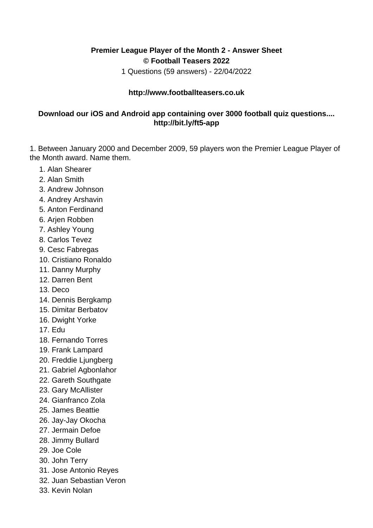## **Premier League Player of the Month 2 - Answer Sheet © Football Teasers 2022**

1 Questions (59 answers) - 22/04/2022

## **http://www.footballteasers.co.uk**

## **Download our iOS and Android app containing over 3000 football quiz questions.... http://bit.ly/ft5-app**

1. Between January 2000 and December 2009, 59 players won the Premier League Player of the Month award. Name them.

- 1. Alan Shearer
- 2. Alan Smith
- 3. Andrew Johnson
- 4. Andrey Arshavin
- 5. Anton Ferdinand
- 6. Arjen Robben
- 7. Ashley Young
- 8. Carlos Tevez
- 9. Cesc Fabregas
- 10. Cristiano Ronaldo
- 11. Danny Murphy
- 12. Darren Bent
- 13. Deco
- 14. Dennis Bergkamp
- 15. Dimitar Berbatov
- 16. Dwight Yorke
- 17. Edu
- 18. Fernando Torres
- 19. Frank Lampard
- 20. Freddie Ljungberg
- 21. Gabriel Agbonlahor
- 22. Gareth Southgate
- 23. Gary McAllister
- 24. Gianfranco Zola
- 25. James Beattie
- 26. Jay-Jay Okocha
- 27. Jermain Defoe
- 28. Jimmy Bullard
- 29. Joe Cole
- 30. John Terry
- 31. Jose Antonio Reyes
- 32. Juan Sebastian Veron
- 33. Kevin Nolan